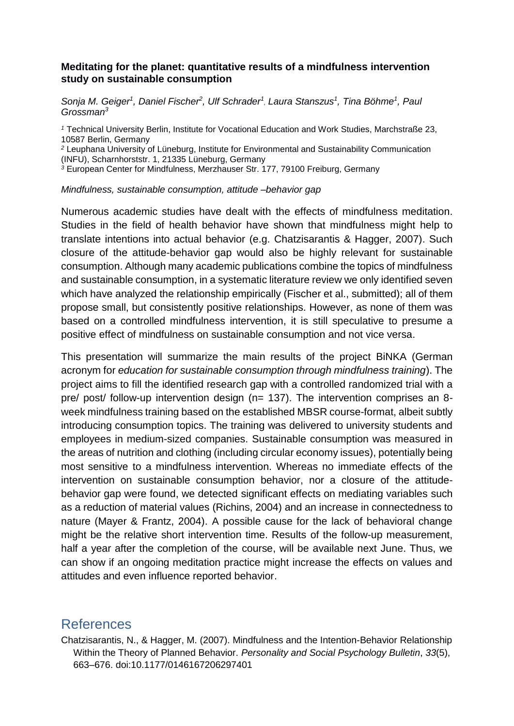## **Meditating for the planet: quantitative results of a mindfulness intervention study on sustainable consumption**

*Sonja M. Geiger<sup>1</sup> , Daniel Fischer<sup>2</sup> , Ulf Schrader<sup>1</sup> , Laura Stanszus<sup>1</sup> , Tina Böhme<sup>1</sup> , Paul Grossman<sup>3</sup>*

*<sup>1</sup>* Technical University Berlin, Institute for Vocational Education and Work Studies, Marchstraße 23, 10587 Berlin, Germany

*<sup>2</sup>* Leuphana University of Lüneburg, Institute for Environmental and Sustainability Communication (INFU), Scharnhorststr. 1, 21335 Lüneburg, Germany

*<sup>3</sup>* European Center for Mindfulness, Merzhauser Str. 177, 79100 Freiburg, Germany

*Mindfulness, sustainable consumption, attitude –behavior gap*

Numerous academic studies have dealt with the effects of mindfulness meditation. Studies in the field of health behavior have shown that mindfulness might help to translate intentions into actual behavior (e.g. Chatzisarantis & Hagger, 2007). Such closure of the attitude-behavior gap would also be highly relevant for sustainable consumption. Although many academic publications combine the topics of mindfulness and sustainable consumption, in a systematic literature review we only identified seven which have analyzed the relationship empirically (Fischer et al., submitted); all of them propose small, but consistently positive relationships. However, as none of them was based on a controlled mindfulness intervention, it is still speculative to presume a positive effect of mindfulness on sustainable consumption and not vice versa.

This presentation will summarize the main results of the project BiNKA (German acronym for *education for sustainable consumption through mindfulness training*). The project aims to fill the identified research gap with a controlled randomized trial with a pre/ post/ follow-up intervention design (n= 137). The intervention comprises an 8 week mindfulness training based on the established MBSR course-format, albeit subtly introducing consumption topics. The training was delivered to university students and employees in medium-sized companies. Sustainable consumption was measured in the areas of nutrition and clothing (including circular economy issues), potentially being most sensitive to a mindfulness intervention. Whereas no immediate effects of the intervention on sustainable consumption behavior, nor a closure of the attitudebehavior gap were found, we detected significant effects on mediating variables such as a reduction of material values (Richins, 2004) and an increase in connectedness to nature (Mayer & Frantz, 2004). A possible cause for the lack of behavioral change might be the relative short intervention time. Results of the follow-up measurement, half a year after the completion of the course, will be available next June. Thus, we can show if an ongoing meditation practice might increase the effects on values and attitudes and even influence reported behavior.

## References

Chatzisarantis, N., & Hagger, M. (2007). Mindfulness and the Intention-Behavior Relationship Within the Theory of Planned Behavior. *Personality and Social Psychology Bulletin*, *33*(5), 663–676. doi:10.1177/0146167206297401